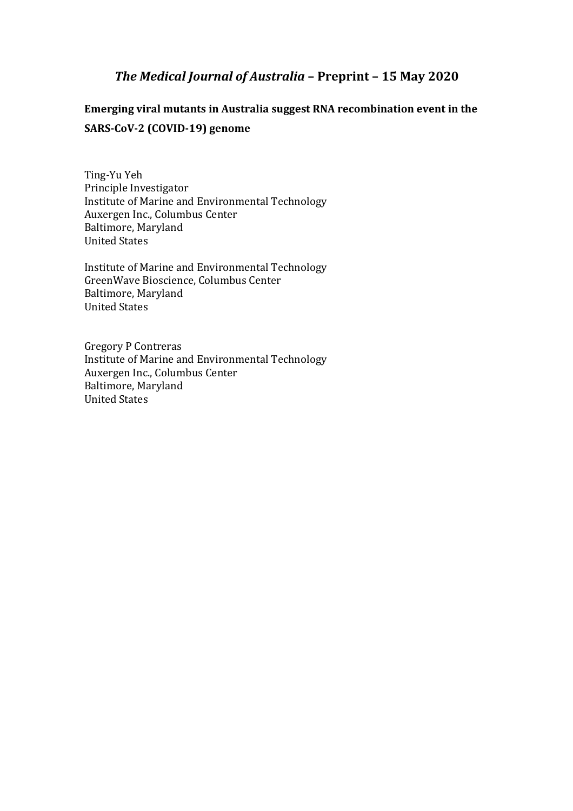# **Emerging viral mutants in Australia suggest RNA recombination event in the SARS-CoV-2 (COVID-19) genome**

Ting-Yu Yeh Principle Investigator Institute of Marine and Environmental Technology Auxergen Inc., Columbus Center Baltimore, Maryland United States

Institute of Marine and Environmental Technology GreenWave Bioscience, Columbus Center Baltimore, Maryland United States

Gregory P Contreras Institute of Marine and Environmental Technology Auxergen Inc., Columbus Center Baltimore, Maryland United States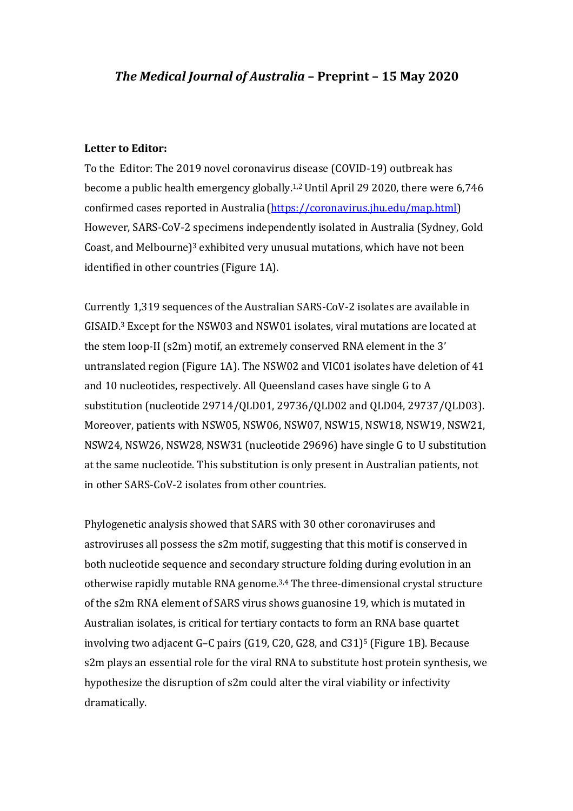#### **Letter to Editor:**

To the Editor: The 2019 novel coronavirus disease (COVID-19) outbreak has become a public health emergency globally.1,2 Until April 29 2020, there were 6,746 confirmed cases reported in Australia (https://coronavirus.jhu.edu/map.html) However, SARS-CoV-2 specimens independently isolated in Australia (Sydney, Gold Coast, and Melbourne)<sup>3</sup> exhibited very unusual mutations, which have not been identified in other countries (Figure 1A).

Currently 1,319 sequences of the Australian SARS-CoV-2 isolates are available in GISAID.3 Except for the NSW03 and NSW01 isolates, viral mutations are located at the stem loop-II (s2m) motif, an extremely conserved RNA element in the 3' untranslated region (Figure 1A). The NSW02 and VIC01 isolates have deletion of 41 and 10 nucleotides, respectively. All Queensland cases have single G to A substitution (nucleotide 29714/QLD01, 29736/QLD02 and QLD04, 29737/QLD03). Moreover, patients with NSW05, NSW06, NSW07, NSW15, NSW18, NSW19, NSW21, NSW24, NSW26, NSW28, NSW31 (nucleotide 29696) have single G to U substitution at the same nucleotide. This substitution is only present in Australian patients, not in other SARS-CoV-2 isolates from other countries.

Phylogenetic analysis showed that SARS with 30 other coronaviruses and astroviruses all possess the s2m motif, suggesting that this motif is conserved in both nucleotide sequence and secondary structure folding during evolution in an otherwise rapidly mutable RNA genome.3,4 The three-dimensional crystal structure of the s2m RNA element of SARS virus shows guanosine 19, which is mutated in Australian isolates, is critical for tertiary contacts to form an RNA base quartet involving two adjacent G–C pairs (G19, C20, G28, and C31)5 (Figure 1B). Because s2m plays an essential role for the viral RNA to substitute host protein synthesis, we hypothesize the disruption of s2m could alter the viral viability or infectivity dramatically.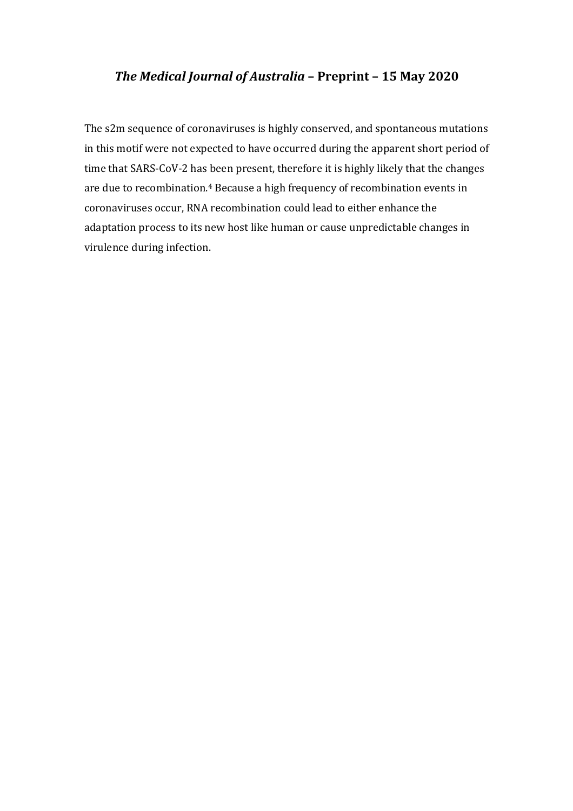The s2m sequence of coronaviruses is highly conserved, and spontaneous mutations in this motif were not expected to have occurred during the apparent short period of time that SARS-CoV-2 has been present, therefore it is highly likely that the changes are due to recombination.<sup>4</sup> Because a high frequency of recombination events in coronaviruses occur, RNA recombination could lead to either enhance the adaptation process to its new host like human or cause unpredictable changes in virulence during infection.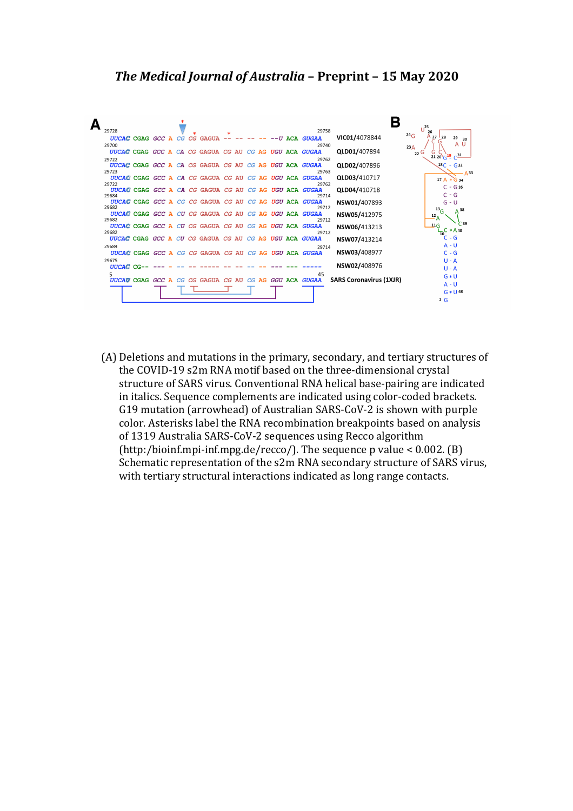

(A) Deletions and mutations in the primary, secondary, and tertiary structures of the COVID-19 s2m RNA motif based on the three-dimensional crystal structure of SARS virus. Conventional RNA helical base-pairing are indicated in italics. Sequence complements are indicated using color-coded brackets. G19 mutation (arrowhead) of Australian SARS-CoV-2 is shown with purple color. Asterisks label the RNA recombination breakpoints based on analysis of 1319 Australia SARS-CoV-2 sequences using Recco algorithm (http:/bioinf.mpi-inf.mpg.de/recco/). The sequence p value < 0.002. (B) Schematic representation of the s2m RNA secondary structure of SARS virus, with tertiary structural interactions indicated as long range contacts.